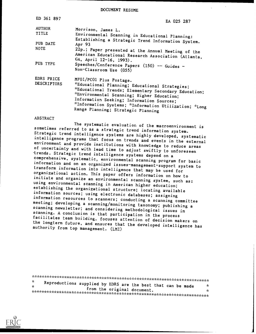DOCUMENT RESUME

| ED 361 897                | EA 025 287                                                                                                                                                                                                                                                                                   |
|---------------------------|----------------------------------------------------------------------------------------------------------------------------------------------------------------------------------------------------------------------------------------------------------------------------------------------|
| <b>AUTHOR</b>             | Morrison, James L.                                                                                                                                                                                                                                                                           |
| TITLE                     | Environmental Scanning in Educational Planning:                                                                                                                                                                                                                                              |
| PUB DATE<br><b>NOTE</b>   | Establishing a Strategic Trend Information System.<br>Apr $93$<br>22p.; Paper presented at the Annual Meeting of the                                                                                                                                                                         |
| PUB TYPE                  | American Educational Research Association (Atlanta,<br>GA, April 12-16, 1993).<br>Speeches/Conference Papers $(150)$ -- Guides -                                                                                                                                                             |
|                           | Non-Classroom Use (055)                                                                                                                                                                                                                                                                      |
| EDRS PRICE<br>DESCRIPTORS | MF01/PC01 Plus Postage.<br><i>*Educational Planning; Educational Strategies;</i><br>*Educational Trends; Elementary Secondary Education;<br>*Environmental Scanning; Higher Education;<br>Information Seeking; Information Sources;<br>*Information Systems; *Information Utilization; *Long |
|                           | Range Planning; Strategic Planning                                                                                                                                                                                                                                                           |

#### ABSTRACT

The systematic evaluation of the macroenvironment is<br>sometimes referred to as a strategic trend information system. Strategic trend intelligence systems are highly developed, systematic<br>intelligence programs that focus on trends and events in the external<br>environment and provide institutions with knowledge to reduce areas<br>of uncertainty initiate and organize an environmental scanning system, such as:<br>using environmental scanning in American higher education;<br>establishing the organizational structure; locating available information sources; using electronic databases; assigning<br>information resources to scanners; conducting a scanning committee meeting; developing a scanning/monitoring taxonomy; publishing a<br>scanning newsletter; and considering methodological issues in<br>scanning. A conclusion is that participation in the process<br>facilitates team building, focuses

| Ý.  |                                                              |   |
|-----|--------------------------------------------------------------|---|
| -ie | Reproductions supplied by EDRS are the best that can be made | x |
|     | from the original document.                                  |   |
|     |                                                              |   |

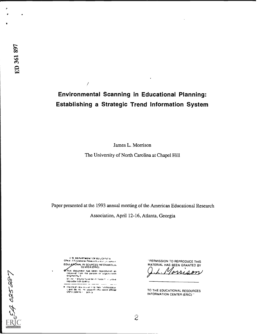E EA OBS-BB-7

## Environmental Scanning in Educational Planning: Establishing a Strategic Trend Information System

James L. Morrison

The University of North Carolina at Chapel Hill

Paper presented at the 1993 annual meeting of the American Educational Research

Association, April 12-16, Atlanta, Georgia

U.S. DEPARTMENT OF EDUCATION EDUCATONAL RI SOURCES INFORMATION

 $\overline{I}$ 

- This document has been reproduced as<br>rocoived (rom ihe person or organizimon<br>อกฎเกล่ากับ it
- >rr or ances hr..\* be.. 03.3e ..rore reo.odut 1,05 guiday -. -
- a wro.15 or -.lea r.. yr r.-15. Nit .,nthlsoOcu .ent do it of assdola re ISOM offictal OECi pose.c. no, :y

"PERMISSION TO REPRODUCE THIS MATERIAL HAS BEEN GRANTED BY  $\boldsymbol{\Lambda}$ ⊿ 21 on

TO THE EDUCATIONAL RESOURCES INFORMATION CENTER (ERIC)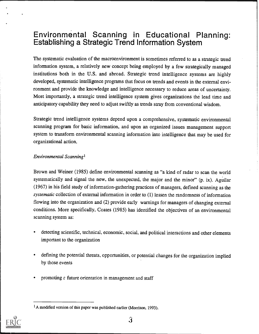# Environmental Scanning in Educational Planning: Establishing a Strategic Trend Information System

The systematic evaluation of the macroenvironment is sometimes referred to as a strategic trend information system, a relatively new concept being employed by a few strategically managed institutions both in the U.S. and abroad. Strategic trend intelligence systems are highly developed, systematic intelligence programs that focus on trends and events in the external environment and provide the knowledge and intelligence necessary to reduce areas of uncertainty. Most importantly, a strategic trend intelligence system gives organizations the lead time and anticipatory capability they need to adjust swiftly as trends stray from conventional wisdom.

Strategic trend intelligence systems depend upon a comprehensive, systematic environmental scanning program for basic information, and upon an organized issues management support system to transform environmental scanning information into intelligence that may be used for organizational action.

#### Environmental Scanning'

Brown and Weiner (1985) define environmental scanning as "a kind of radar to scan the world systematically and signal the new, the unexpected, the major and the minor" (p. ix). Aguilar (1967) in his field study of information-gathering practices of managers, defined scanning as the systematic collection of external information in order to (1) lessen the randomness of information flowing into the organization and (2) provide early warnings for managers of changing external conditions. More specifically, Coates (1985) has identified the objectives of an environmental scanning system as:

- detecting scientific, technical, economic, social, and political interactions and other elements important to the organization
- defining the potential threats, opportunities, or potential changes for the organization implied by those events
- promoting  $\epsilon$  future orientation in management and staff

<sup>&</sup>lt;sup>1</sup>A modified version of this paper was published earlier (Morrison, 1993).

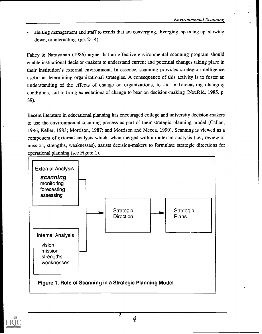alerting management and staff to trends that are converging, diverging, speeding up, slowing down, or interacting (pp. 2-14)

Fahey & Narayanan (1986) argue that an effective environmental scanning program should enable institutional decision-makers to understand current and potential changes taking place in their institution's external environment. In essence, scanning provides strategic intelligence useful in determining organizational strategies. A consequence of this activity is to foster an understanding of the effects of change on organizations, to aid in forecasting changing conditions, and to bring expectations of change to bear on decision-making (Neufeld, 1985, p. 39).

Recent literature in educational planning has encouraged college and university decision-makers to use the environmental scanning process as part of their strategic planning model (Callan, 1986; Keller, 1983; Morrison, 1987; and Morrison and Mecca, 1990). Scanning is viewed as a component of external analysis which, when merged with an internal analysis (i.e., review of mission, strengths, weaknesses), assists decision-makers to formulate strategic directions for operational planning (see Figure 1).



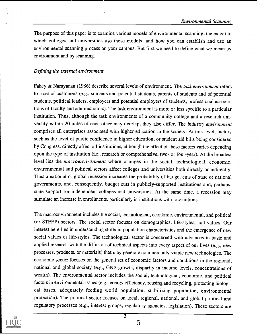The purpose of this paper is to examine various models of environmental scanning, the extent to which colleges and universities use these models, and how you can establish and use an environmental scanning process on your campus. But first we need to define what we mean by environment and by scanning.

#### Defining the external environment

Fahey & Narayanan (1986) describe several levels of environment. The task environment refers to a set of customers (e.g., students and potential students, parents of students and of potential students, political leaders, employers and potential employers of students, professional associations of faculty and administrators). The task environment is more or less specific to a particular institution. Thus, although the task environments of a community college and a research university within 20 miles of each other may overlap, they also differ. The industry environment comprises all enterprises associated with higher education in the society. At this level, factors such as the level of public confidence in higher education, or student aid bills being considered by Congress, directly affect all institutions, although the effect of these factors varies depending upon the type of institution (i.e., research or comprehensive, two- or four-year). At the broadest level lies the macroenvironment where changes in the social, technological, economic, environmental and political sectors affect colleges and universities both directly or indirectly. Thus a national or global recession increases the probability of budget cuts of state or national governments, and, consequently, budget cuts in publicly-supported institutions and, perhaps, state support for independent colleges and universities. At the same time, a recession may stimulate an increase in enrollments, particularly in institutions with low tuitions.

The macroenvironment includes the social, technological, economic, environmental, and political (or STEEP) sectors. The social sector focuses on demographics, life-styles, and values. Our interest here lies in understanding shifts in population characteristics and the emergence of new social values or life-styles. The technological sector is concerned with advances in basic and applied research with the diffusion of technical aspects into every aspect of our lives (e.g., new processes, products, or materials) that may generate commercially-viable new technologies. The economic sector focuses on the general set of economic factors and conditions in the regional, national and global society (e.g., GNP growth, disparity in income levels, concentrations of wealth). The environmental sector includes the social, technological, economic, and political factors in environmental issues (e.g., energy efficiency, reusing and recycling, protecting biological bases, adequately feeding world population, stabilizing population, environmental protection). The political sector focuses on local, regional, national, and global political and regulatory processes (e.g., interest groups, regulatory agencies, legislation). These sectors are



र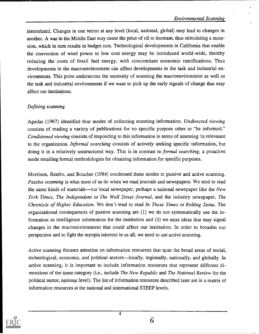#### Environmental Scanning

interrelated. Changes in one sector at any level (local, national, global) may lead to changes in another. A war in the Middle East may cause the price of oil to increase, thus stimulating a recession, which in turn results in budget cuts. Technological developments in California that enable the conversion of wind power to low cost energy may be introduced world-wide, thereby reducing the costs of fossil fuel energy, with concomitant economic ramifications. Thus developments in the macroenvironment can affect developments in the task and industrial environments. This point underscores the necessity of scanning the macroenvironment as well as the task and industrial environments if we want to pick up the early signals of change that may affect our institutions.

#### Defining scanning

Aguilar (1967) identified four modes of collecting scanning information. Undirected viewing consists of reading a variety of publications for no specific purpose other to "be informed." Conditioned viewing consists of responding to this information in terms of assessing its relevance to the organization. Informal searching consists of actively seeking specific information, but doing it in a relatively unstructured way. This is in contrast to *formal searching*, a proactive mode entailing formal methodologies for obtaining information for specific purposes.

Morrison, Renfro, and Boucher (1984) condensed these modes to passive and active scanning. Passive scanning is what most of us do when we read journals and newspapers. We tend to read the same kinds of materials—our local newspaper, perhaps a national newspaper like the New York Times, The Independent or The Wall Street Journal, and the industry newspaper, The Chronicle of Higher Education. We don't tend to read In These Times or Rolling Stone. The organizational consequences of passive scanning are (1) we do not systematically use the information as intelligence information for the institution and (2) we miss ideas that may signal changes in the macroenvironment that could affect our institution. In order to broaden our perspective and to fight the myopia inherent in us all, we need to use active scanning.

Active scanning focuses attention on information resources that span the broad areas of social, technological, economic, and political sectors—locally, regionally, nationally, and globally. In active scanning, it is important to include information resources that represent different dimensions of the same category (i.e., include The New Republic and The National Review for the political sector, national level). The list of information resources described later are in a matrix of information resources at the national and international STEEP levels.

4



 $6\overline{6}$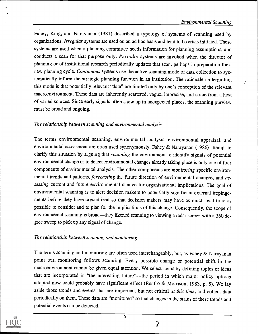Fahey, King, and Narayanan (1981) described a typology of systems of scanning used by organizations. Irregular systems are used on an ad hoc basis and tend to be crisis initiated. These systems are used when a planning committee needs information for planning assumptions, and conducts a scan for that purpose only. Periodic systems are invoked when the director of planning or of institutional research periodically updates that scan, perhaps in preparation for a new planning cycle. Continuous systems use the active scanning mode of data collection to systematically inform the strategic planning function in an institution. The rationale undergirding this mode is that potentially relevant "data" are limited only by one's conception of the relevant macroenvironment. These data are inherently scattered, vague, imprecise, and come from a host of varied sources. Since early signals often show up in unexpected places, the scanning purview must be broad and ongoing.

#### The relationship between scanning and environmental analysis

The terms environmental scanning, environmental analysis, environmental appraisal, and environmental assessment are often used synonymously. Fahey & Narayanan (1986) attempt to clarify this situation by arguing that *scanning* the environment to identify signals of potential environmental change or to detect environmental changes already taking place is only one of four components of environmental analysis. The other components are monitoring specific environmental trends and patterns, forecasting the future direction of environmental changes, and assessing current and future environmental change for organizational implications. The goal of environmental scanning is to alert decision makers to potentially significant external impingements before they have crystallized so that decision makers may have as much lead time as possible to consider and to plan for the implications of this change. Consequently, the scope of environmental scanning is broad—they likened scanning to viewing a radar screen with a 360 degree sweep to pick up any signal of change.

#### The relationship between scanning and monitoring

The terms scanning and monitoring are often used interchangeably, but, as Fahey & Narayanan point out, monitoring follows scanning. Every possible change or potential shift in the macroenvironment cannot be given equal attention. We select items by defining topics or ideas that are incorporated in "the interesting future"—the period in which major policy options adopted now could probably have significant effect (Renfro & Morrison, 1983, p. 5). We lay aside those trends and events that are important, but not critical at this time, and collect data periodically on them. These data are "monitc ed" so that changes in the status of these trends and potential events can be detected.



5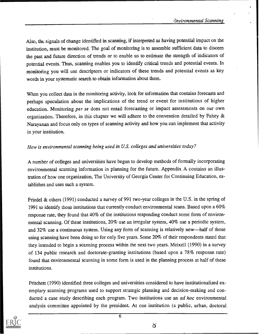Also, the signals of change identified in scanning, if interpreted as having potential impact on the institution, must be monitored. The goal of monitoring is to assemble sufficient data to discern the past and future direction of trends or to enable us to estimate the strength of indicators of potential events. Thus, scanning enables you to identify critical trends and potential events. In monitoring you will use descriptors or indicators of these trends and potential events as key words in your systematic search to obtain information about them.

When you collect data in the monitoring activity, look for information that contains forecasts and perhaps speculation about the implications of the trend or event for institutions of higher education. Monitoring per se does not entail forecasting or impact assessments on our own organization. Therefore, in this chapter we will adhere to the convention detailed by Fahey & Narayanan and focus only on types of scanning activity and how you can implement that activity in your institution.

#### How is environmental scanning being used in U.S. colleges and universities today?

A number of colleges and universities have begun to develop methods of formally incorporating environmental scanning information in planning for the future. Appendix A contains an illustration of how one organization, The University of Georgia Center for Continuing Education, establishes and uses such a system.

Friedel & others (1991) conducted a survey of 991 two-year colleges in the U.S. in the spring of 1991 to identify those institutions that currently conduct environmental scans. Based upon a  $60\%$ response rate, they found that 40% of the institutions responding conduct some form of environmental scanning. Of these institutions, 20% use an irregular system, 40% use a periodic system, and 32% use a continuous system. Using any form of scanning is relatively new—half of those using scanning have been doing so for only five years. Some 20% of their respondents stated that they intended to begin a scanning process within the next two years. Meixell (1990) in a survey of 134 public research and doctorate-granting institutions (based upon a 78% response rate) found that environmental scanning in some form is used in the planning process at half of these institutions.

Pritchett (1990) identified three colleges and universities considered to have institutionalized exemplary scanning programs used to support strategic planning and decision-making and conducted a case study describing each program. Two institutions use an *ad hoc* environmental analysis committee appointed by the president. At one institution (a public, urban, doctoral



පි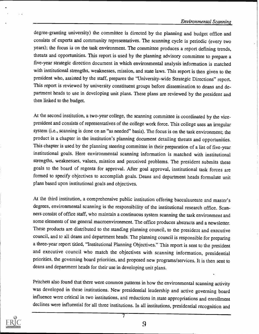degree-granting university) the committee is directed by the planning and budget office and consists of experts and community representatives. The scanning cycle is periodic (every two years); the focus is on the task environment. The committee produces a report defining trends, threats and opportunities. This report is used by the planning advisory committee to prepare a five-year strategic direction document in which environmental analysis information is matched with institutional strengths, weaknesses, mission, and state laws. This report is then given to the president who, assisted by the staff, prepares the "University-wide Strategic Directions" report. This report is reviewed by university constituent groups before dissemination to deans and department heads to use in developing unit plans. These plans are reviewed by the president and then linked to the budget.

At the second institution, a two-year college, the scanning committee is coordinated by the vicepresident and consists of representatives of the college work force. This college uses an irregular system (i.e., scanning is done on an "as needed" basis). The focus is on the task environment; the product is a chapter in the institution's planning document detailing threats and opportunities. This chapter is used by the planning steering committee in their preparation of a list of five-year institutional goals. Here environmental scanning information is matched with institutional strengths, weaknesses, values, mission and perceived problems. The president submits these goals to the board of regents for approval. After goal approval, institutional task forces are formed to specify objectives to accomplish goals. Deans and department heads formulate unit plans based upon institutional goals and objectives.

At the third institution, a comprehensive public institution offering baccalaureate and master's degrees, environmental scanning is the responsibility of the institutional research office. Scanners consist of office staff, who maintain a continuous system scanning the task environment and some elements of tne general macroenvironment. The office produces abstracts and a newsletter. These products are distributed to the standing planning council, to the president and executive council, and to all deans and department heads. The planning council is responsible for preparing a three-year report titled, "Institutional Planning Objectives." This report is sent to the president and executive council who match the objectives with scanning information, presidential priorities, the governing board priorities, and proposed new programs/services. It is then sent to deans and department heads for their use in developing unit plans.

Pritchett also found that there were common patterns in how the environmental scanning activity was developed in these institutions. New presidential leadership and active governing board influence were critical in two institutions, and reductions in state appropriations and enrollment declines were influential for all three institutions. In all institutions, presidential recognition and



9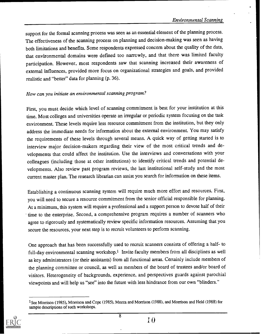support for the formal scanning process was seen as an essential element of the planning process. The effectiveness of the scanning process on planning and decision-making was seen as having both limitations and benefits. Some respondents expressed concern about the quality of the data, that environmental domains were defmed too narrowly, and that there was limited faculty participation. However, most respondents saw that scanning increased their awareness of external influences, provided more focus on organizational strategies and goals, and provided realistic and "better" data for planning (p. 36).

#### How can you initiate an environmental scanning program?

First, you must decide which level of scanning commitment is best for your institution at this time. Most colleges and universities operate an irregular or periodic system focusing on the task environment. These levels require less resource commitment from the institution, but they only address the immediate needs for information about the external environment. You may satisfy the requirements of these levels through several means. A quick way of getting started is to interview major decision-makers regarding their view of the most critical trends and developments that could affect the institution. Use the interviews and conversations with your colleagues (including those at other institutions) to identify critical trends and potential developments. Also review past program reviews, the last institutional self-study and the most current master plan. The research librarian can assist you search for information on these items.

Establishing a continuous scanning system will require much more effort and resources. First, you will need to secure a resource commitment from the senior official responsible for planning. At a minimum, this system will require a professional and a support person to devote half of their time to the enterprise. Second, a comprehensive program requires a number of scanners who agree to rigorously and systematically review specific information resources. Assuming that you secure the resources, your next step is to recruit volunteers to perform scanning.

One approach that has been successfully used to recruit scanners consists of offering a half- to full-day environmental scanning workshop.<sup>1</sup> Invite faculty members from all disciplines as well as key administrators (or their assistants) from all functional areas. Certainly include members of the planning committee or council, as well as members of the board of trustees and/or board of visitors. Heterogeneity of backgrounds, experience, and perspectives guards against parochial viewpoints and will help us "see" into the future with less hindrance from our own "blinders."

8



<sup>&</sup>lt;sup>1</sup>See Morrison (1985), Morrison and Cope (1985), Mecca and Morrison (1988), and Morrison and Held (1988) for sample descriptions of such workshops.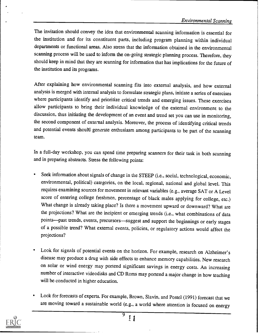The invitation should convey the idea that environmental scanning information is essential for the institution and for its constituent parts, including program planning within individual departments or functional areas. Also stress that the information obtained in the environmental scanning process will be used to inform the on-going strategic planning process. Therefore, they should keep in mind that they are scanning for information that has implications for the future of the institution and its programs.

After explaining how environmental scanning fits into external analysis, and how external analysis is merged with internal analysis to formulate strategic plans, initiate a series of exercises where participants identify and prioritize critical trends and emerging issues. These exercises allow participants to bring their individual knowledge of the external environment to the discussion, thus initiating the development of an event and trend set you can use in monitoring, the second component of external analysis. Moreover, the process of identifying critical trends and potential events should generate enthusiasm among participants to be part of the scanning team.

In a full-day workshop, you can spend time preparing scanners for their task in both scanning and in preparing abstracts. Stress the following points:

- Seek information about signals of change in the STEEP (i.e., social, technological, economic, environmental, political) categories, on the local, regional, national and global level. This requires examining sources for movement in relevant variables (e.g., average SAT or A Level score of entering college freshmen, percentage of black males applying for college, etc.) What change is already taking place? Is there a movement upward or downward? What are the projections? What are the incipient or emerging trends (i.e., what combinations of data points—past trends, events, precursors—suggest and support the beginnings or early stages of a possible trend? What external events, policies, or regulatory actions would affect the projections?
- Look for signals of potential events on the horizon. For example, research on Alzheimer's disease may produce a drug with side effects to enhance memory capabilities. New research on solar or wind energy may portend significant savings in energy costs. An increasing number of interactive videodisks and CD' Roms may portend a major change in how teaching will be conducted in higher education.
- Look for forecasts of experts. For example, Brown, Slavin, and Postel (1991) forecast that we are moving toward a sustainable world (e.g., a world where attention is focused on energy

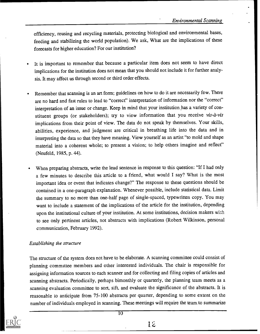efficiency, reusing and recycling materials, protecting biological and environmental bases, feeding and stabilizing the world population). We ask, What are the implications of these forecasts for higher education? For our institution?

- It is important to remember that because a particular item does not seem to have direct implications for the institution does not mean that you should not include it for further analysis. It may affect us through second or third order effects.
- Remember that scanning is an art form; guidelines on how to do it are necessarily few. There are no hard and fast rules to lead to "correct" interpretation of information nor the "correct" interpretation of an issue or change. Keep in mind that your institution has a variety of constituent groups (or stakeholders); try to view information that you receive vis-à-vis implications from their point of view. The data do not speak by themselves. Your skills, abilities, experience, and judgment are critical in breathing life into the data and in interpreting the data so that they have meaning. View yourself as an artist "to mold and shape material into a coherent whole; to present a vision; to help others imagine and reflect" (Neufeld, 1985, P. 44).
- When preparing abstracts, write the lead sentence in response to this question: "If I had only a few minutes to describe this article to a friend, what would I say? What is the most important idea or event that indicates change?" The response to these questions should be contained in a one-paragraph explanation. Whenever possible, include statistical data. Limit the summary to no more than one-half page of single-spaced, typewritten copy. You may want to include a statement of the implications of the article for the institution, depending upon the institutional culture of your institution. At some institutions, decision makers with to see only pertinent articles, not abstracts with implications (Robert Wilkinson, personal communication, February 1992).

#### Establishing the structure

The structure of the system does not have to be elaborate. A scanning committee could consist of planning committee members and other interested individuals. The chair is responsible for assigning information sources to each scanner and for collecting and tiling copies of articles and scanning abstracts. Periodically, perhaps bimonthly or quarterly, the planning team meets as a scanning evaluation committee to sort, sift, and evaluate the significance of the abstracts. It is reasonable to anticipate from 75-100 abstracts per quarter, depending to some extent on the number of individuals employed in scanning. These meetings will require the team, to summarize



 $\overline{10}$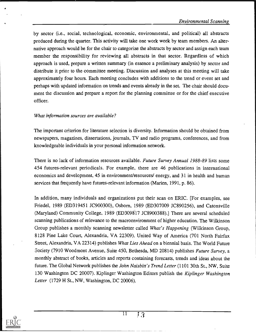by sector (i.e., social, technological, economic, environmental, and political) all abstracts produced during the quarter. This activity will take one work week by team members. An alternative approach would be for the chair to categorize the abstracts by sector and assign each team member the responsibility for reviewing all abstracts in that sector. Regardless of which approach is used, prepare a written summary (in essence a preliminary analysis) by sector and distribute it prior to the committee meeting. Discussion and analyses at this meeting will take approximately four hours. Each meeting concludes with additions to the trend or event set and perhaps with updated information on trends and events already in the set. The chair should document the discussion and prepare a report for the planning committee or for the chief executive officer.

#### What information sources are available?

The important criterion for literature selection is diversity. Information should be obtained from newspapers, magazines, dissertations, journals, TV and radio programs, conferences, and from knowledgeable individuals in your personal information network.

There is no lack of information resources available. Future Survey Annual 1988-89 lists some 454 futures-relevant periodicals. For example, there are 46 publications in international economics and development, 45 in environment/resources/ energy, and 31 in health and human services that frequently have futures-relevant information (Marien, 1991, p. 86).

In addition, many individuals and organizations put their scan on ERIC. [For examples, see Friedel, 1989 (ED319451 JC900300), Osborn, 1989 (ED307009 JC890256), and Catonsville  $(Maryland)$  Community College, 1989  $(ED309817$  JC8900388).] There are several scheduled scanning publications of relevance to the macroenvironment of higher education. The Wilkinson Group publishes a monthly scanning newsletter called What's Happening (Wilkinson Group, 8128 Pine Lake Court, Alexandria, VA 22309). United Way of America (701 North Fairfax Street, Alexandria, VA 22314) publishes What Lies Ahead on a biennial basis. The World Future Society (7910 Woodmont Avenue, Suite 450, Bethesda, MD 20814) publishes Future Survey, a monthly abstract of books, articles and reports containing forecasts, trends and ideas about the future. The Global Network publishes the *John Naisbitt's Trend Letter* (1101 30th St., NW, Suite 130 Washington DC 20007). Kiplinger Washington Editors publish the Kiplinger Washington Letter (1729 H St., NW, Washington, DC 20006).

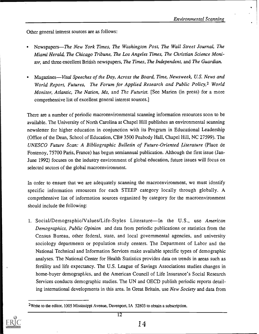Other general interest sources are as follows:

- Newspapers-The New York Times, The Washington Post, The Wall Street Journal, The Miami Herald, The Chicago Tribune, The Los Angeles Times, The Christian Science Monitor, and three excellent British newspapers, The Times, The Independent, and The Guardian.
- Magazines—Vital Speeches of the Day, Across the Board, Time, Newsweek, U.S. News and World Report, Futures, The Forum for Applied Research and Public Policy,<sup>2</sup> World Monitor, Atlantic, The Nation, Ms, and The Futurist. [See Marien (in press) for a more comprehensive list of excellent general interest sources.]

There are a number of periodic macroenvironmental scanning information resources soon to be available. The University of North Carolina at Chapel Hill publishes an environmental scanning newsletter for higher education in conjunction with its Program in Educational Leadership (Office of the Dean, School of Education, CB# 3500 Peabody Hall, Chapel Hill, NC 27599). The UNESCO Future Scan: A Bibliographic Bulletin of Future-Oriented Literature (Place de Fontenoy, 75700 Paris, France) has begun semiannual publication. Although the first issue (Jan-June 1992) focuses on the industry environment of global education, future issues will focus on selected sectors of the global macroenvironment.

In order to ensure that we are adequately scanning the macroenvironment, we must identify specific information resources for each STEEP category locally through globally. A comprehensive list of information sources organized by category for the macroenvironment should include the following:

1. Social/Demographic/Values/Life-Styles Literature—In the U.S., use American Demographics, Public Opinion and data from periodic publications or statistics from the Census Bureau, other federal, state, and local governmental agencies, and university sociology departments or population study centers. The Department of Labor and the National Technical and Information Services make available specific types of demographic analyses. The National Center for Health Statistics provides data on trends in areas such as fertility and life expectancy. The U.S. League of Savings Associations studies changes in home-buyer demographics, and the American Council of Life Insurance's Social Research Services conducts demographic studies. The UN and OECD publish periodic reports detailing international developments in this area. In Great Britain, use New Society and data from

<sup>&</sup>lt;sup>2</sup>Write to the editor, 1005 Mississippi Avenue, Davenport, IA 52803 to obtain a subscription.

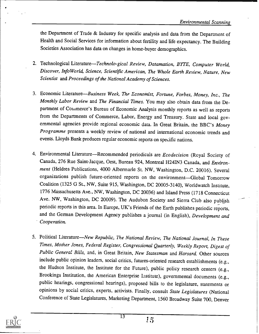the Department of Trade & Industry for specific analysis and data from the Department of Health and Social Services for information about fertility and life expectancy. The Building Societies Association has data on changes in home-buyer demographics.

- 2. Technological Literature-Technolo-gical Review, Datamation, BYTE, Computer World, Discover, InfoWorld, Science, Scientific American, The Whole Earth Review, Nature, New Scientist and Proceedings of the National Academy of Sciences.
- 3. Economic Literature-Business Week, The Economist, Fortune, Forbes, Money, Inc., The Monthly Labor Review and The Financial Times. You may also obtain data from the Department of Couimerce's Bureau of Economic Analysis monthly reports as well as reports from the Departments of Commerce, Labor, Energy and Treasury. State and local governmental agencies provide regional economic data. In Great Britain, the BBC's Money Programme presents a weekly review of national and international economic trends and events. Lloyds Bank produces regular economic reports on specific nations.
- 4. Environmental Literature—Recommended periodicals are Ecodecision (Royal Society of Canada, 276 Rue Saint-Jacque, Oest, Bureau 924, Montreal H24IN3 Canada, and Environment (Heldres Publications, 4000 Albermarle St. NW, Washington, D.C. 20016). Several organizations publish future-oriented reports on the environment-Global Tomorrow Coalition (1325 G St., NW, Suite 915, Washington, DC 20005-3140), Worldwatch Institute, 1776 Massachusetts Ave., NW, Washington, DC 20036) and Island Press (1718 Connecticut Ave. NW, Washington, DC 20009). The Audubon Society and Sierra Club also publish. periodic reports in this area. In Europe, UK's Friends of the Earth publishes periodic reports, and the German Development Agency publishes a journal (in English), Development and Cooperation.
- 5. Political Literature—New Republic, The National Review, The National Journal, In These Times, Mother Jones, Federal Register, Congressional Quarterly, Weekly Report, Digest of Public General Bills, and, in Great Britain, New Statesman and Harsard. Other sources include public opinion leaders, social critics, futures-oriented research establishments (e.g., the Hudson Institute, the Institute for the Future), public policy research centers (e.g., Brookings Institution, the American Enterprise Listitute), governmental documents (e.g., public hearings, congressional hearings), proposed bills to the legislature, statements or opinions by social critics, experts, activists. Finally, consult State Legislatures (National Conference of State Legislatures, Marketing Department, 1560 Broadway Suite 700, Denver



13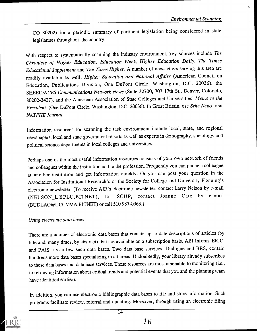CO 80202) for a periodic summary of pertinent legislation being considered in state legislatures throughout the country.

With respect to systematically scanning the industry environment, key sources include The Chronicle of Higher Education, Education Week, Higher Education Daily, The Times Educational Supplement and The Times Higher. A number of newsletters serving this area are readily available as well: Higher Education and National Affairs (American Council on Education, Publications Division, One DuPont Circle, Washington, D.C. 20036), the SHEEO/NCES Communications Network News (Suite 32700, 707 17th St., Denver, Colorado, 80202-3427), and the American Association of State Colleges and Universities' Memo to the President (One DuPont Circle, Washington, D.C. 20036). In Great Britain, use Srhe News and NATFHE Journal.

Information resources for scanning the task environment include local, state, and regional newspapers, local and state government reports as well as experts in demography, sociology, and political science departments in local colleges and universities.

Perhaps one of the most useful information resources consists of your own network of friends and colleagues within the institution and in the profession. Frequently you can phone a colleague at another institution and get information quickly. Or you can post your question in the Association for Institutional Research's or the Society for College and University Planning's electronic newsletter. [To receive AIR's electronic newsletter, contact Larry Nelson by e-mail (NELSON\_L@PLU.BITNET); for SCUP, contact Joanne Cate by e-mail (BUDLAO@UCCVMA.BITNET) or call 510 987-0963.]

#### Using electronic data bases

There are a number of electronic data bases that contain up-to-date descriptions of articles (by title and, many times, by abstract) that are available on a subscription basis. ABI Inform, ERIC, and PAIS are a few such data bases. Two data base services, Dialogue and BRS, contain hundreds more data bases specializing in all areas. Undoubtedly, your library already subscribes to these data bases and data base services. These resources are most amenable to monitoring (i.e., to retrieving information about critical trends and potential events that you and the planning team have identified earlier).

In addition, you can use electronic bibliographic data bases to file and store information. Such programs facilitate review, referral and updating. Moreover, through using an electronic filing



14

16.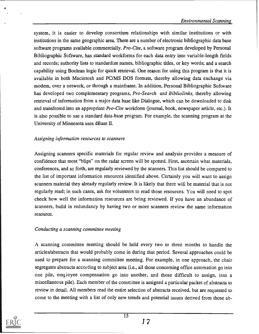system, it is easier to develop consortium relationships with similar institutions or with institutions in the same geographic area. There are a number of electronic bibliographic data base software programs available commercially. Pro-Cite, a software program developed by Personal Bibliographic Software, has standard workforms for each data entry into variable-length fields and records; authority lists to standardize names, bibliographic titles, or key words; and a search capability using Boolean logic for quick retrieval. One reason for using this program is that it is available in both Macintosh and PC/MS DOS formats, thereby allowing data exchange via modem, over a network, or through a mainframe. In addition, Personal Bibliographic Software has developed two complementary programs, *Pro-Search* and *Bibliolinks*, thereby allowing retrieval of information from a major data base like Dialogue, which can be downloaded to disk and transferred into an appropriate Pro-Cite workform (journal, book, newspaper article, etc.). It is also possible to use a standard data-base program. For example, the scanning program at the University of Minnesota uses dBase II.

#### Assigning information resources to scanners

Assigning scanners specific materials for regular review and analysis provides a measure of confidence that most "blips" on the radar screen will be spotted. First, ascertain what materials, conferences, and so forth, are regularly reviewed by the scanners. This list should be compared to the list of important information resources identified above. Certainly you will want to assign scanners material they already regularly review. It is likely that there will be material that is not regularly read; in such cases, ask for volunteers to read those resources. You will need to spot check how well the information resources are being reviewed. If you have an abundance of scanners, build in redundancy by having two or more scanners review the same information resource.

#### Conducting a scanning committee meeting

A scanning committee meeting should be held every two to three months to handle the articles/abstracts that would probably come in during that period. Several approaches could be used to prepare for a scanning committee meeting. For example, in one approach, the chair segregates abstracts accovding to subject area (i.e., all those concerning office automation go into one pile, employee compensation go into another, and those difficult to assign, into a miscellaneous pile). Each member of the committee is assigned a particular packet of abstracts to review in detail. All members read the entire selection of abstracts received, but are requested to come to the meeting with a list of only new trends and potential issues derived from those ab-

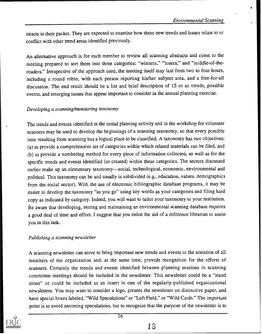stracts in their packet. They are expected to examine how these new trends and issues relate to or conflict with other trend areas identified previously.

An alternative approach is for each member to review all scanning abstracts and come to the meeting prepared to sort them into three categories: "winners," "losers," and "middle-of-theroaders." Irrespective of the approach used, the meeting itself may last from two to four hours, including a round robin, with each person reporting his/her subject area, and a free-for-all discussion. The end result should be a list and brief description of 15 or so trends, possible events, and emerging issues that appear important to consider in the annual planning exercise.

#### Developing a scanning/monitoring taxonomy

The trends and events identified in the initial planning activity and in the workshop for volunteer scanners may be used to develop the beginnings of a scanning taxonomy, so that every possible item resulting from scanning has a logical place to be classified. A taxonomy has two objectives: (a) to provide a comprehensive set of categories within which related materials can be filed, and (b) to provide a numbering method for every piece of information collected, as well as for the specific trends and events identified (or created) within these categories. The sectors discussed earlier make up an elementary taxonomy—social, technological, economic, environmental and political. This taxonomy can be and usually is subdivided (e.g., education, values, demographics from the social sector). With the use of electronic bibliographic database programs, it may be easier to develop the taxonomy "as you go" using key words as your categories and filing hard copy as indicated by category. Indeed, you will want to tailor your taxonomy to your institution. Be aware that developing, storing and maintaining an environmental scanning database requires a good deal of time and effort. I suggest that you enlist the aid of a reference librarian to assist you in this task.

#### Publishing a scanning newsletter

A scanning newsletter can serve to bring important new trends and events to the attention of all members of the organization and, at the same time, provide recognition for the efforts of scanners. Certainly the trends and events identified between planning sessions in scanning committee meetings should be included in the newsletter. This newsletter could be a "stand alone" or could be included as an insert in one of the regularly-published organizational newsletters. You may want to consider a logo, present the newsletter on distinctive paper, and have special boxes labeled, "Wild Speculations" or "Left Field," or "Wild Cards." The important point is to avoid anointing speculations, but to recognize that the purpose of the newsletter is to

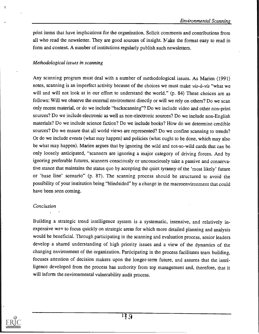print items that have implications for the organization. Solicit comments and contributions from all who read the newsletter. They are good sources of insight. Make the format easy to read in form and content. A number of institutions regularly publish such newsletters.

### Methodological issues in scanning

Any scanning program must deal with a number of methodological issues. As Marien (1991) notes, scanning is an imperfect activity because of the choices we must make vis-à-vis "what we will and will not look at in our effort to understand the world." (p. 84) These choices are as follows: Will we observe the external environment directly or will we rely on others? Do we scan only recent material, or do we include "backscanning"? Do we include video and other non-print sources? Do we include electronic as well as non-electronic sources? Do we include non-English materials? Do we include science fiction? Do we include books? How do we determine credible sources? Do we ensure that all world views are represented? Do we confine scanning to trends? Or do we include events (what may happen) and policies (what ought to be done, which may also be what may happen). Marien argues that by ignoring the wild and not-so-wild cards that can be only loosely anticipated, "scanners are ignoring a major category of driving forces. And by ignoring preferable futures, scanners consciously or unconsciously take a passive and conservative stance that maintains the status quo by accepting the quiet tyranny of the 'most likely' future or 'base line' scenario" (p. 87). The scanning process should be structured to avoid the possibility of your institution being "blindsided" by a change in the macroenvironment that could have been seen coming.

#### Conclusion

Building a strategic trend intelligence system is a systematic, intensive, and relatively inexpensive way to focus quickly on strategic areas for which more detailed planning and analysis would be beneficial. Through participating in the scanning and evaluation process, senior leaders develop a shared understanding of high priority issues and a view of the dynamics of the changing environment of the organization. Participating in the process facilitates team building, focuses attention of decision makers upon the longer-term future, and assures that the intelligence developed from the process has authority from top management and, therefore, that it will inform the environmental vulnerability audit process.

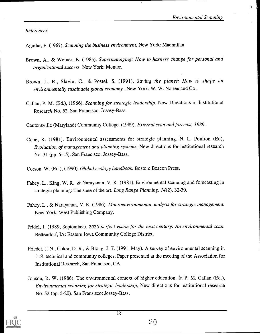References

Aguilar, F. (1967). Scanning the business environment. New York: Macmillan.

- Brown, A., & Weiner, E. (1985). Supermanaging: How to harness change for personal and organizational success. New York: Mentor.
- Brown, L. R., Slavin, C., & Postel, S. (1991). Saving the planet: How to shape an environmentally susainable global economy . New York: W. W. Norten and Co .
- Callan, P. M. (Ed.), (1986). Scanning for strategic leadership. New Directions in Institutional Research No. 52. San Francisco: Jossey-Bass.

Cantonsville (Maryland) Community College. (1989). External scan and forecast, 1989.

Cope, R. (1981). Environmental assessments for strategic planning. N. L. Poulton (Ed), Evaluation of management and planning systems. New directions for institutional research No. 31 (pp. 5-15). San Francisco: Jossey-Bass.

Corson, W. (Ed.), (1990). Global ecology handbook Boston: Beacon Press.

- Fahey, L., King, W. R., & Narayanan, V. K. (1981). Environmental scanning and forecasting in strategic planning: The state of the art. Long Range Planning, 14(2), 32-39.
- Fahey, L., & Narayanan, V. K. (1986). Macroenvironmental analysis for strategic management. New York: West Publishing Company.
- Fridel, J. (1989, September). 2020 perfect vision for the next century: An environmental scan. Bettendorf, IA: Eastern Iowa Community College District.
- Friedel, J. N., Coker, D. R., & Blong, J. T. (1991, May). A survey of environmental scanning in U.S. technical and community colleges. Paper presented at the meeting of the Association for Institutional Research, San Francisco, CA.
- Jonson, R. W. (1986). The environmental context of higher education. In P. M. Callan (Ed.), Environmental scanning for strategic leadership, New directions for institutional research No. 52 (pp. 5-20). San Fransisco: Jossey-Bass.

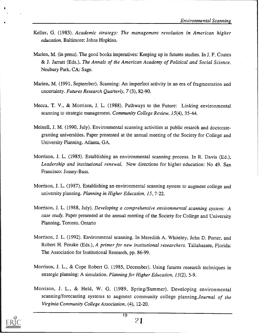- Keller, G. (1983). Academic strategy: The management revolution in American higher education. Baltimore: Johns Hopkins.
- Marien, M. (in press). The good books imperatives: Keeping up in futures studies. In J. F. Coates & J. Jarratt (Eds.), The Annals of the American Academy of Political and Social Science. Neubury Park, CA: Sage.
- Marien, M. (1991, September). Scanning: An imperfect activity in an era of fragmentation and uncertainty. Futures Research Quarterly, 7 (3), 82-90.
- Mecca, T. V., & Morrison, J. L. (1988). Pathways to the Future: Linking environmental scanning to strategic management. Community College Review, 15(4), 35-44.
- Meixell, J. M. (1990, July). Environmental scanning activities at public resarch and doctorategranting universities. Paper presented at the annual meeting of the Society for College and University Planning, Atlanta, GA.
- Morrison, J. L. (1985). Establishing an environmental scanning process. In R. Davis (Ed.), Leadership and institutional renewal, New directions for higher education: No 49. San Francisco: Jossey-Bass.
- Morrison, J. L. (1987). Establishing an environmental scanning system to augment college and university planning. Planning in Higher Education, 15, 7-22.
- Morrison, J. L. (1988, July). Developing a comprehensive environmental scanning system: A case study. Paper presented at the annual meeting of the Society for College and University Planning, Toronto, Ontario
- Morrison, J. L. (1992). Environmenal scanning. In Meredith A. Whiteley, John D. Porter, and Robert H. Fenske (Eds.), A primer for new institutional researchers. Tallahassee, Florida: The Association for Institutional Research, pp. 86-99.
- Morrison, J. L., & Cope Robert G. (1985, December). Using futures research techniques in strategic planning: A simulation. Planning for Higher Education, 13(2), 5-9.
- Morrison, J. L., & Held, W. G. (1989, Spring/Summer). Developing environmental scanning/forecasting systems to augment community college planning. Journal of the Virginia Community College Association, (4), 12-20.